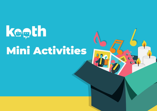# kooth Mini Activities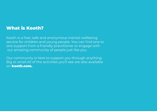### What is Kooth?

Kooth is a free, safe and anonymous mental wellbeing service for children and young people. You can find one to one support from a friendly practitioner or engage with our amazing community of people just like you.

Our community is here to support you through anything. Big or small.All of the activities you'll see are also available on kooth.com.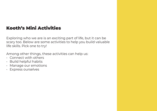### Kooth's Mini Activities

Exploring who we are is an exciting part of life, but it can be scary too. Below are some activities to help you build valuable life skills. Pick one to try!

Among other things, these activities can help us:

- Connect with others
- Build helpful habits
- Manage our emotions
- Express ourselves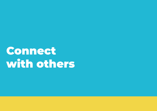# Connect with others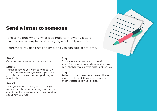### Send a letter to someone

Take some time writing what feels important. Writing letters is a memorable way to focus on saying what really matters.

Remember you don't have to try it, and you can stop at any time.

### Step 1

Get a pen, some paper, and an envelope.

### Step 2

Think about who you want to write to (E.g. an old friend or relative, or even a person in your life that made an impact positively or negatively).

### Step 3

Write your letter, thinking about what you want to say (this may be letting them know about your life, or even something important about how you feel).

### Step 4

Think about what you want to do with your letter. Do you want to send it or perhaps you don't? Either way, do what feels right for you.

### Step 5

Reflect on what the experience was like for you. If it feels right, think about sending another letter to somebody else.

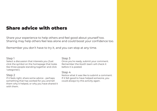### Share advice with others

Share your experience to help others and feel good about yourself too. Sharing may help others feel less alone and could boost your confidence too.

Remember you don't have to try it, and you can stop at any time.

### Step 1

Select a discussion that interests you (Just click the symbol on the homepage that looks like three people standing together and click 'categories').

### Step 2

If it feels right, share some advice - perhaps something that has worked for you and tell them why it helped, or why you have shared it with them.

### Step 3

Once you're ready, submit your comment. Remember the Kooth team will check it before it is posted.

### Step 4

Notice what it was like to submit a comment. If it felt good to have helped someone, you could always try this activity again.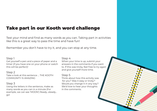### Take part in our Kooth word challenge

Test your mind and find as many words as you can. Taking part in activities like this is a great way to pass the time and have fun!

Remember you don't have to try it, and you can stop at any time.

### Step 1

Get yourself a pen and a piece of paper and a timer (if you have one on your phone or watch this will be perfect)!

### Step 2

Take a look at this sentence … THE KOOTH COMMUNITY IS AMAZING

### Step 3

Using the letters in the sentence, make as many words as you can in a minute (For example, we can see 'MOON') Ready...steady... go!

#### Step 4

When your time is up, submit your answers in the comments if you want to. If this was tricky, feel free to try again and give yourself more time.

### Step 5

Think about how this activity was for you? Was it easy or tricky? Would you change it in any way? We'd love to hear your thoughts in the comments.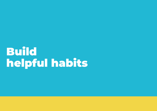# Build helpful habits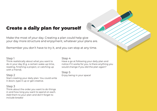### Create a daily plan for yourself

Make the most of your day. Creating a plan could help give your day more structure and enjoyment, whatever your plans are.

Remember you don't have to try it, and you can stop at any time.

### Step 1

Think realistically about what you want to do in your day (E.g. a certain wake-up time, reading, finishing a project, or catching up with a friend).

### Step 2

Start creating your daily plan. You could write it down, type it up or get creative.

### Step 3

Think about the order you want to do things in and how long you want to spend on each. Add them to your plan and don't forget to include breaks!

### Step 4

Have a go at following your daily plan and notice if it works for you. Is there anything you would change if you did the plan again?

Step 5 Enjoy being in your space!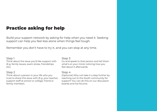### Practice asking for help

Build your support network by asking for help when you need it. Seeking support can help you feel less alone when things feel tough.

Remember you don't have to try it, and you can stop at any time.

### Step 1

Think about the issue you'd like support with (E.g. family issues, exam stress, friendships etc).

### Step 2

Think about a person in your life who you trust to share this issue with (E.g. your teacher, support staff at school or college, friend or family member).

### Step 3

Go and speak to that person and tell them what's on your mind, noticing how you feel about it afterwards.

### Step 4

(Optional) Why not take it a step further by reaching out to the Kooth community for support! You can do this on our discussion boards and live forums.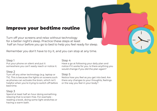### Improve your bedtime routine

Turn off your screens and relax without technology for a better night's sleep. Practice these steps at least half an hour before you go to bed to help you feel ready for sleep.

Remember you don't have to try it, and you can stop at any time.

### Step 1

Put your phone on silent and put it somewhere you can't easily reach or notice it.

### Step 2

Turn off any other technology (e.g. laptop or TV). This is because the lights on screens such as phones can activate the brain, which isn't helpful when you're trying to switch off before bed time.

### Step 3

Spend at least half an hour doing something relaxing that is screen-free. For example reading a book, doing some light stretches or having a warm bath.

### Step 4

Have a go at following your daily plan and notice if it works for you. Is there anything you would change if you did the plan again?

### Step 5

Notice how you feel as you get into bed. Are there any changes to your thoughts, feelings or the way you feel in your body?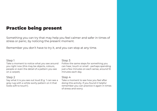### Practice being present

Something you can try that may help you feel calmer and safer in times of stress or panic, by noticing the present moment.

Remember you don't have to try it, and you can stop at any time.

#### Step 1

Take a moment to notice what you see around you right now (this may be objects, colours, people or even the detail of a pattern you see on a carpet).

### Step 2

Say what it is you see out loud (E.g. 'I can see a grey rug with a white swirly pattern on it that looks soft to touch').

### Step 3

Follow the same steps for something you can hear, touch or smell - perhaps spending just a few minutes on each sense, around 10 minutes each day.

### Step 4

Take a moment to see how you feel after doing this activity. If you found it helpful remember you can practice it again in times of stress and worry.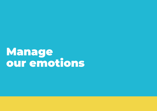Manage our emotions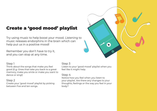### Create a 'good mood' playlist

Try using music to help boost your mood. Listening to music releases endorphins in the brain which can help put us in a positive mood!

Remember you don't have to try it, and you can stop at any time.

### Step 1

Think about the songs that make you feel good (E.g. Ones that take you back to a great memory, make you smile or make you want to dance or sing!)

### Step 2

Create your 'good mood' playlist by picking between five and ten songs.

### Step 3

Listen to your 'good mood' playlist when you feel like it might help.

### Step 4

Notice how you feel when you listen to your playlist. Are there any changes to your thoughts, feelings or the way you feel in your body?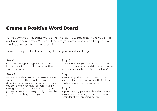### Create a Positive Word Board

Write down your favourite words! Think of some words that make you smile and write them down! You can decorate your word board and keep it as a reminder when things are tough!

Remember you don't have to try it, and you can stop at any time.

### Step 1

Get some pens, pencils, paints and paint brushes, whatever you like, and something to write or draw on!

### Step 2

Have a think about some positive words you want to include. These could be words to describe yourself, or just fun words that make you smile when you think of them! If you're struggling to think of nice things to say about yourself, think about how you might describe your favourite things or people!

### Step 3

Think about how you want to lay the words out on the page. You could do a word cloud, or a mind map, or a list, whatever you fancy!

#### Step 4

Start writing! The words can be any size, shape, colour - have fun with it! Notice how you feel as you write the words out.

### Step 5

(Optional) Hang your word board up where you can see it, so that you have a constant reminder of how amazing you are!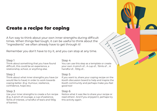### Create a recipe for coping

A fun way to think about your own inner strengths during difficult times. When things feel tough, it can be useful to think about the "ingredients" we often already have to get through it!

Remember you don't have to try it, and you can stop at any time.

### Step 1

Think about something that you have found difficult, this could be an experience, a relationship, school, or anything else.

### Step 2

Think about what inner strengths you have (or would like to have) in order to work towards coping better. (E.g. Humour, resilience, confidence, hope etc).

### Step 3

Use your inner strengths to create a fun recipe (E.g. A pinch of courage, a cup of patience, 15mls of interest, a handful of tears and 100g of banter).

### Step 4

You can use this step as a template or create your own: A pinch of… A cup of… 15mls of … A handful of… 100g of…

### Step 5

If you want to, share your coping recipe on the Kooth discussion board to help and inspire the Kooth community and perhaps make you feel good too!

### Step 6

Notice what it was like to share your recipe or read others'. And if you enjoyed it, perhaps try this activity again.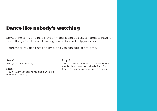### Dance like nobody's watching

Something to try and help lift your mood. It can be easy to forget to have fun when things are difficult. Dancing can be fun and help you smile.

Remember you don't have to try it, and you can stop at any time.

Step 1 Find your favourite song.

Step 2 Play it loud/wear earphones and dance like nobody's watching.

Step 3

Tried it? Take 5 minutes to think about how your body feels compared to before. E.g: does it have more energy or feel more relaxed?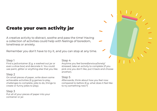### Create your own activity jar

A creative activity to distract, soothe and pass the time! Having a collection of activities could help with feelings of boredom, loneliness or anxiety.

Remember you don't have to try it, and you can stop at any time.

### Step 1

Find a jar/container (E.g. a washed out jar or even a shoe box) and decorate it. You could use paint, glitter or anything else that you like.

### Step 2

On small pieces of paper, write down some achievable activities (E.g games to play, challenges to complete, jobs to do, things to create or funny jokes to play).

#### Step 3

Put all of your pieces of paper into your container or jar.

#### Step 4

Anytime you feel bored/anxious/lonely/ stressed, take an activity to complete (if you pick one you don't like, put it back and choose another).

### Step 5

Afterwards, think about how you feel now compared to before (E.g. what does it feel like to try something new?)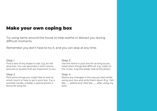### Make your own coping box

Try using items around the house to help soothe or distract you during difficult moments.

Remember you don't have to try it, and you can stop at any time.

### Step 1

Find a box of any shape or size. E.g. an old shoe box. You can decorate it with colours, pictures or quotes that are important to you.

### Step 2

Pick some things you might like to look at, smell, touch or hear to go in your box E.g. a scented candle, a teddy, a special photo, a favourite song list.

### Step 3

Use the items in your box for as long as you need when things feel difficult. E.g. Listen to the music, hug the teddy, look at the photo.

#### Step 4

Notice any changes in the way you feel whilst using your box and write them down (E.g. I felt like  $\equiv$  before and I feel like  $\equiv$  after using my box).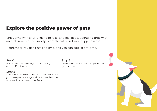### Explore the positive power of pets

Enjoy time with a furry friend to relax and feel good. Spending time with animals may reduce anxiety, promote calm and your happiness too.

Remember you don't have to try it, and you can stop at any time.

Step 1 Plan some free time in your day, ideally around 15 minutes.

### Step 2

Spend that time with an animal. This could be your own pet or even just time to watch some funny animal videos on YouTube.

Step 3 Afterwards, notice how it impacts your general mood.

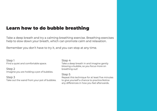### Learn how to do bubble breathing

Take a deep breath and try a calming breathing exercise. Breathing exercises help to slow down your breath, which can promote calm and relaxation.

Remember you don't have to try it, and you can stop at any time.

Step 1 Find a quiet and comfortable space.

Step 2 Imagine you are holding a pot of bubbles.

Step 3 Take out the wand from your pot of bubbles.

#### Step 4

Take a deep breath in and imagine gently blowing a bubble, so you focus more on breathing out!

### Step 5

Repeat this technique for at least five minutes to give yourself a chance to practice.Notice any differences in how you feel afterwards.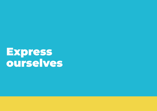**Express** ourselves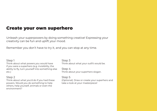### Create your own superhero

Unleash your superpowers by doing something creative! Expressing your creativity can be fun and uplift your mood.

Remember you don't have to try it, and you can stop at any time.

### Step 1

Think about what powers you would have if you were a superhero (e.g. invisibility, the ability to fly, turn yourself into something else etc.)

### Step 2

Think about what you'd do if you had these powers. Would you do something to help others, help yourself, animals or even the environment?

### Step 3

Think about what your outfit would be.

Step 4 Think about your superhero slogan.

### Step 5

(Optional). Draw or create your superhero and take a look at your masterpiece!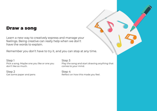### Draw a song

Learn a new way to creatively express and manage your feelings. Being creative can really help when we don't have the words to explain.

Remember you don't have to try it, and you can stop at any time.

Step 1 Pick a song. Maybe one you like or one you don't like so much.

Step 2 Get some paper and pens Step 3

Play the song and start drawing anything that comes to your mind.

Step 4 Reflect on how this made you feel.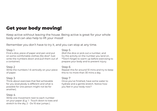### Get your body moving!

Keep active without leaving the house. Being active is great for your whole body and can also help to lift your mood!

Remember you don't have to try it, and you can stop at any time.

### Step 1

Find a dice, piece of paper and pen and put on some comfortable clothes (No dice? Just write the numbers down and pull them out of a container).

#### Step 2

Write the numbers 1-6 vertically on your piece of paper.

### Step 3

Think about exercises that feel achievable for you (everybody is different and what is possible for one person might not be for another).

### Step 4

Write one movement next to each number on your paper (E.g. 1 - Touch down to toes and stretch to the sky, 2 - Do 10 star jumps ).

### Step 5

(Roll the dice or pick out a number, and try the activity on the number you land on. \*\*Don't forget to warm up before exercising to prepare your body and to prevent injury.

### Step 6

Repeat this for around 10 mins and try to keep this to no more than 30 mins a day.

### Step 7

Once you've finished, have some water to hydrate and a gentle stretch. Notice how you feel in your body now?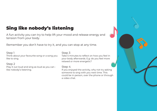### Sing like nobody's listening

A fun activity you can try to help lift your mood and release energy and tension from your body.

Remember you don't have to try it, and you can stop at any time.

### Step 1

Think about your favourite song or a song you like to sing.

### Step 2

Play it out loud and sing as loud as you can like nobody's listening.

### Step 3

Take 5 minutes to reflect on how you feel in your body afterwards. E.g: do you feel more relaxed or more energetic?

### Step 4

If you enjoyed the activity, why not try asking someone to sing with you next time. This could be in person, over the phone or through a video chat.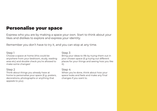### Personalise your space

Express who you are by making a space your own. Start to think about your likes and dislikes to explore and express your identity.

Remember you don't have to try it, and you can stop at any time.

### Step 1

Choose a space at home (this could be anywhere from your bedroom, study, reading area etc) and double check you're allowed to make some changes!

### Step 2

Think about things you already have at home to personalise your space (E.g. posters, decorations, photographs or anything that appeals to you).

### Step 3

Bring your ideas to life by trying them out in your chosen space (E.g trying out different places for your things and seeing how you like it).

### Step 4

When you're done, think about how your space looks and feels and make any final changes if you want to.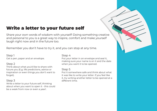### Write a letter to your future self

Share your own words of wisdom with yourself! Doing something creative and personal to you is a great way to inspire, comfort and make yourself laugh right now and in the future too.

Remember you don't have to try it, and you can stop at any time.

### Step 1

Get a pen, paper and an envelope.

### Step 2

Think about what you'd like to share with future you (E.g. life predictions, advice or inspiration or even things you don't want to forget).

### Step 3

Write a letter to your future self, thinking about when you want to open it - this could be a week from now or even a year!.

### Step 4

Put your letter in an envelope and seal it, making sure your name is on it and the date when you want it to be opened.

### Step 5

Put it somewhere safe and think about what it was like to write your letter. If you feel like it, try writing another letter to be opened at a different time.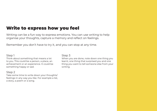### Write to express how you feel

Writing can be a fun way to express emotions. You can use writing to help organise your thoughts, capture a memory and reflect on feelings.

Remember you don't have to try it, and you can stop at any time.

### Step 1

Think about something that means a lot to you. This could be a person, a place, an achievement or an experience. It could be something happy or sad.

### Step 2

Take some time to write down your thoughts/ feelings in any way you like. For example a list, a story, a poem or a song.

#### Step 3

When you are done, note down one thing you learnt, one thing that surprised you and one thing you want to tell someone else from your writing.